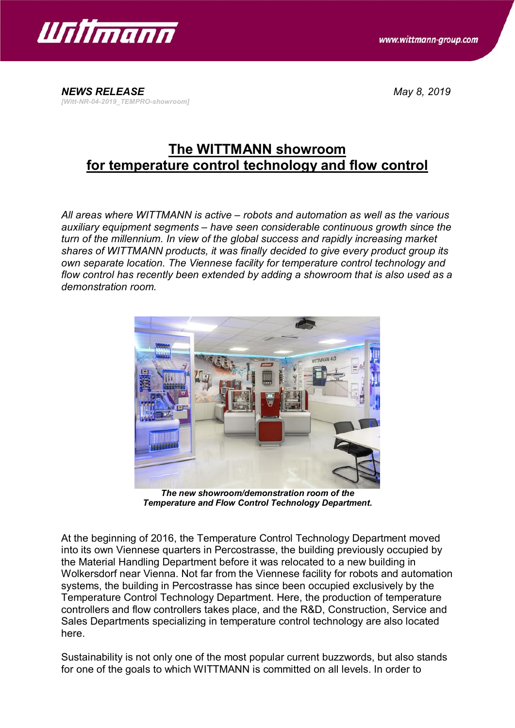

*NEWS RELEASE May 8, 2019 [Witt-NR-04-2019\_TEMPRO-showroom]*

## **The WITTMANN showroom for temperature control technology and flow control**

*All areas where WITTMANN is active – robots and automation as well as the various auxiliary equipment segments – have seen considerable continuous growth since the turn of the millennium. In view of the global success and rapidly increasing market shares of WITTMANN products, it was finally decided to give every product group its own separate location. The Viennese facility for temperature control technology and flow control has recently been extended by adding a showroom that is also used as a demonstration room.*



*The new showroom/demonstration room of the Temperature and Flow Control Technology Department.*

At the beginning of 2016, the Temperature Control Technology Department moved into its own Viennese quarters in Percostrasse, the building previously occupied by the Material Handling Department before it was relocated to a new building in Wolkersdorf near Vienna. Not far from the Viennese facility for robots and automation systems, the building in Percostrasse has since been occupied exclusively by the Temperature Control Technology Department. Here, the production of temperature controllers and flow controllers takes place, and the R&D, Construction, Service and Sales Departments specializing in temperature control technology are also located here.

Sustainability is not only one of the most popular current buzzwords, but also stands for one of the goals to which WITTMANN is committed on all levels. In order to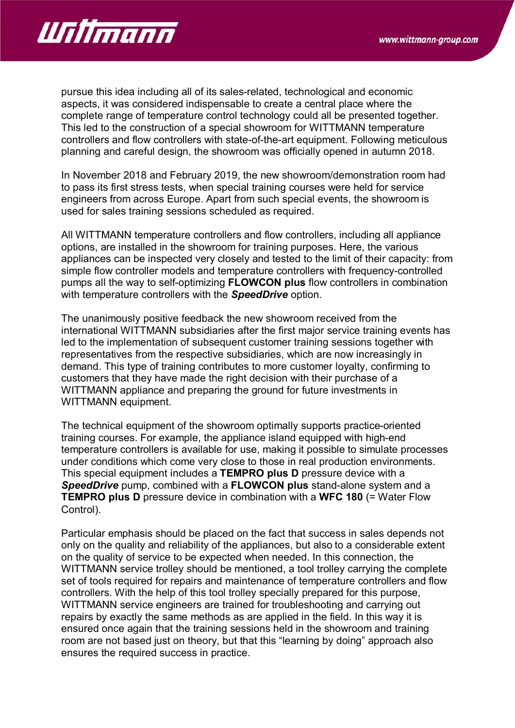

pursue this idea including all of its sales-related, technological and economic aspects, it was considered indispensable to create a central place where the complete range of temperature control technology could all be presented together. This led to the construction of a special showroom for WITTMANN temperature controllers and flow controllers with state-of-the-art equipment. Following meticulous planning and careful design, the showroom was officially opened in autumn 2018.

In November 2018 and February 2019, the new showroom/demonstration room had to pass its first stress tests, when special training courses were held for service engineers from across Europe. Apart from such special events, the showroom is used for sales training sessions scheduled as required.

All WITTMANN temperature controllers and flow controllers, including all appliance options, are installed in the showroom for training purposes. Here, the various appliances can be inspected very closely and tested to the limit of their capacity: from simple flow controller models and temperature controllers with frequency-controlled pumps all the way to self-optimizing **FLOWCON plus** flow controllers in combination with temperature controllers with the *SpeedDrive* option.

The unanimously positive feedback the new showroom received from the international WITTMANN subsidiaries after the first major service training events has led to the implementation of subsequent customer training sessions together with representatives from the respective subsidiaries, which are now increasingly in demand. This type of training contributes to more customer loyalty, confirming to customers that they have made the right decision with their purchase of a WITTMANN appliance and preparing the ground for future investments in WITTMANN equipment.

The technical equipment of the showroom optimally supports practice-oriented training courses. For example, the appliance island equipped with high-end temperature controllers is available for use, making it possible to simulate processes under conditions which come very close to those in real production environments. This special equipment includes a **TEMPRO plus D** pressure device with a *SpeedDrive* pump, combined with a **FLOWCON plus** stand-alone system and a **TEMPRO plus D** pressure device in combination with a **WFC 180** (= Water Flow Control).

Particular emphasis should be placed on the fact that success in sales depends not only on the quality and reliability of the appliances, but also to a considerable extent on the quality of service to be expected when needed. In this connection, the WITTMANN service trolley should be mentioned, a tool trolley carrying the complete set of tools required for repairs and maintenance of temperature controllers and flow controllers. With the help of this tool trolley specially prepared for this purpose, WITTMANN service engineers are trained for troubleshooting and carrying out repairs by exactly the same methods as are applied in the field. In this way it is ensured once again that the training sessions held in the showroom and training room are not based just on theory, but that this "learning by doing" approach also ensures the required success in practice.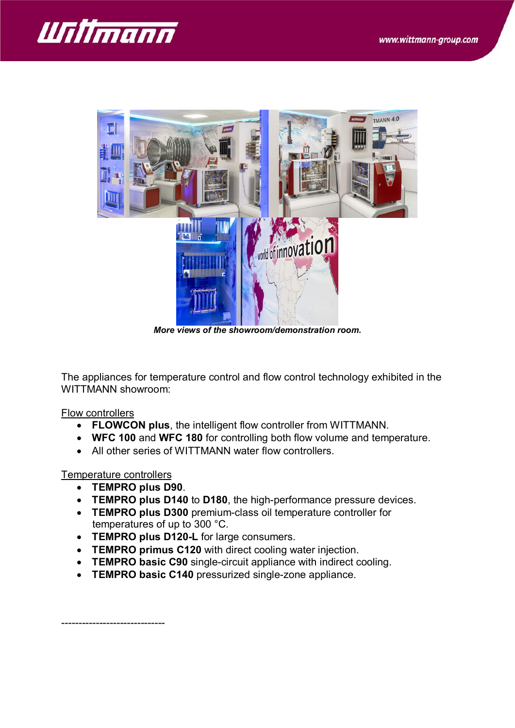



*More views of the showroom/demonstration room.*

The appliances for temperature control and flow control technology exhibited in the WITTMANN showroom:

## Flow controllers

- · **FLOWCON plus**, the intelligent flow controller from WITTMANN.
- · **WFC 100** and **WFC 180** for controlling both flow volume and temperature.
- All other series of WITTMANN water flow controllers.

## Temperature controllers

- · **TEMPRO plus D90**.
- · **TEMPRO plus D140** to **D180**, the high-performance pressure devices.
- · **TEMPRO plus D300** premium-class oil temperature controller for temperatures of up to 300 °C.
- · **TEMPRO plus D120-L** for large consumers.
- · **TEMPRO primus C120** with direct cooling water injection.
- · **TEMPRO basic C90** single-circuit appliance with indirect cooling.
- · **TEMPRO basic C140** pressurized single-zone appliance.

------------------------------